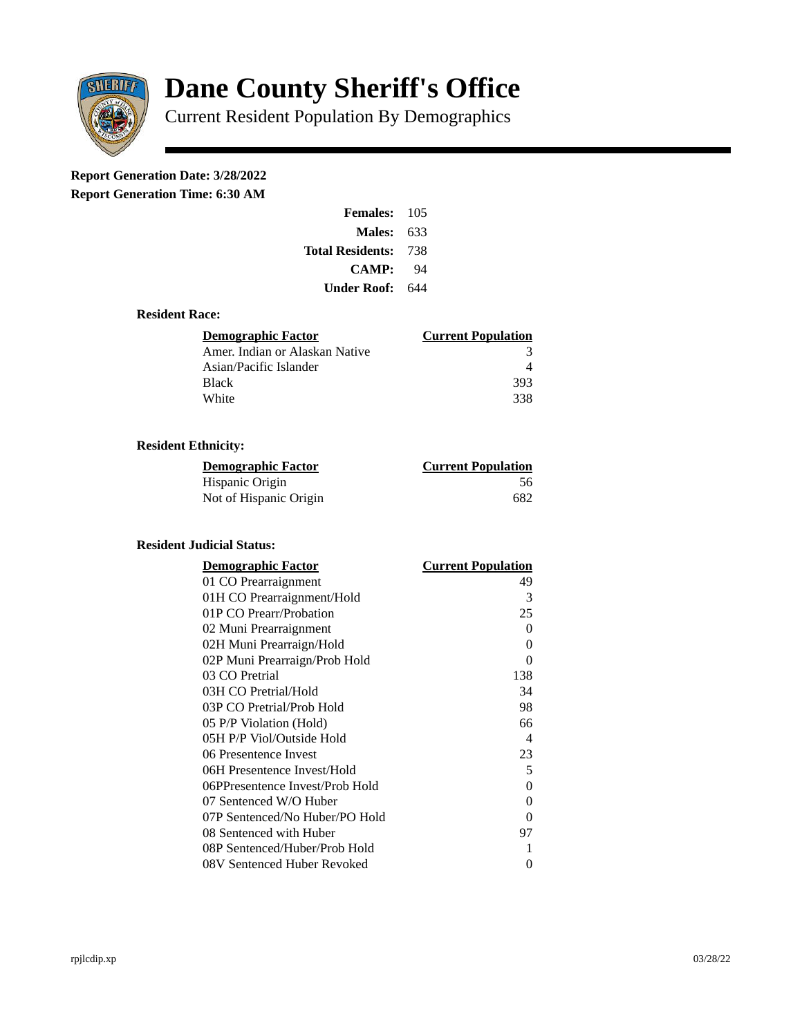

# **Dane County Sheriff's Office**

Current Resident Population By Demographics

# **Report Generation Date: 3/28/2022**

**Report Generation Time: 6:30 AM** 

| Females:                    | 105 |  |
|-----------------------------|-----|--|
| Males:                      | 633 |  |
| <b>Total Residents: 738</b> |     |  |
| CAMP:                       | 94  |  |
| Under Roof:                 | 644 |  |

### **Resident Race:**

| Demographic Factor             | <b>Current Population</b> |
|--------------------------------|---------------------------|
| Amer. Indian or Alaskan Native |                           |
| Asian/Pacific Islander         |                           |
| Black                          | 393                       |
| White                          | 338                       |

# **Resident Ethnicity:**

| <u> Demographic Factor</u> | <b>Current Population</b> |
|----------------------------|---------------------------|
| Hispanic Origin            | 56                        |
| Not of Hispanic Origin     | 682                       |

# **Resident Judicial Status:**

| <b>Demographic Factor</b>       | <b>Current Population</b>  |
|---------------------------------|----------------------------|
| 01 CO Prearraignment            | 49                         |
| 01H CO Prearraignment/Hold      | 3                          |
| 01P CO Prearr/Probation         | 25                         |
| 02 Muni Prearraignment          | 0                          |
| 02H Muni Prearraign/Hold        | 0                          |
| 02P Muni Prearraign/Prob Hold   | 0                          |
| 03 CO Pretrial                  | 138                        |
| 03H CO Pretrial/Hold            | 34                         |
| 03P CO Pretrial/Prob Hold       | 98                         |
| 05 P/P Violation (Hold)         | 66                         |
| 05H P/P Viol/Outside Hold       | $\boldsymbol{\mathcal{A}}$ |
| 06 Presentence Invest           | 23                         |
| 06H Presentence Invest/Hold     | 5                          |
| 06PPresentence Invest/Prob Hold | 0                          |
| 07 Sentenced W/O Huber          | 0                          |
| 07P Sentenced/No Huber/PO Hold  | 0                          |
| 08 Sentenced with Huber         | 97                         |
| 08P Sentenced/Huber/Prob Hold   | 1                          |
| 08V Sentenced Huber Revoked     | 0                          |